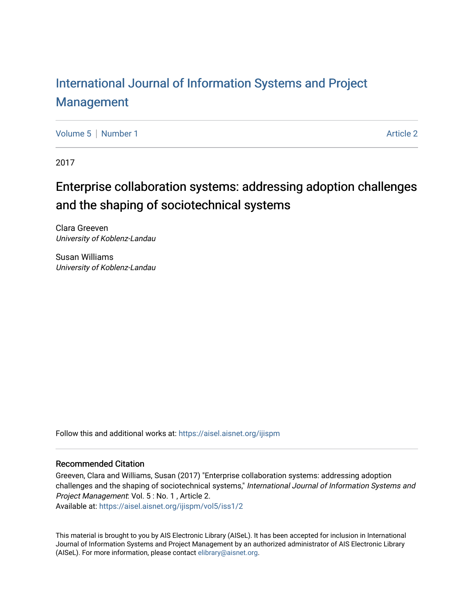# [International Journal of Information Systems and Project](https://aisel.aisnet.org/ijispm)  [Management](https://aisel.aisnet.org/ijispm)

[Volume 5](https://aisel.aisnet.org/ijispm/vol5) | [Number 1](https://aisel.aisnet.org/ijispm/vol5/iss1) Article 2

2017

# Enterprise collaboration systems: addressing adoption challenges and the shaping of sociotechnical systems

Clara Greeven University of Koblenz-Landau

Susan Williams University of Koblenz-Landau

Follow this and additional works at: [https://aisel.aisnet.org/ijispm](https://aisel.aisnet.org/ijispm?utm_source=aisel.aisnet.org%2Fijispm%2Fvol5%2Fiss1%2F2&utm_medium=PDF&utm_campaign=PDFCoverPages) 

### Recommended Citation

Greeven, Clara and Williams, Susan (2017) "Enterprise collaboration systems: addressing adoption challenges and the shaping of sociotechnical systems," International Journal of Information Systems and Project Management: Vol. 5 : No. 1 , Article 2.

Available at: [https://aisel.aisnet.org/ijispm/vol5/iss1/2](https://aisel.aisnet.org/ijispm/vol5/iss1/2?utm_source=aisel.aisnet.org%2Fijispm%2Fvol5%2Fiss1%2F2&utm_medium=PDF&utm_campaign=PDFCoverPages) 

This material is brought to you by AIS Electronic Library (AISeL). It has been accepted for inclusion in International Journal of Information Systems and Project Management by an authorized administrator of AIS Electronic Library (AISeL). For more information, please contact [elibrary@aisnet.org](mailto:elibrary@aisnet.org%3E).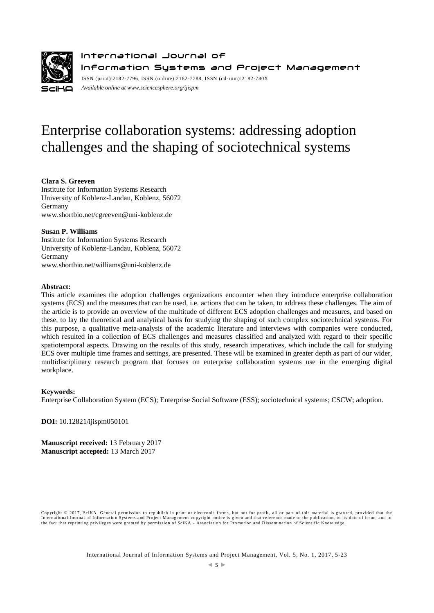

International Journal of Information Systems and Project Management ISSN (print):2182-7796, ISSN (online):2182-7788, ISSN (cd-rom):2182-780X

*Available online a[t www.sciencesphere.org/ijispm](http://www.sciencesphere.org/ijispm)*

# Enterprise collaboration systems: addressing adoption challenges and the shaping of sociotechnical systems

### **Clara S. Greeven**

Institute for Information Systems Research University of Koblenz-Landau, Koblenz, 56072 Germany www.shortbio.net/cgreeven@uni-koblenz.de

### **Susan P. Williams**

Institute for Information Systems Research University of Koblenz-Landau, Koblenz, 56072 Germany [www.shortbio.net/williams@uni-koblenz.de](http://www.shortbio.net/williams@uni-koblenz.de)

### **Abstract:**

This article examines the adoption challenges organizations encounter when they introduce enterprise collaboration systems (ECS) and the measures that can be used, i.e. actions that can be taken, to address these challenges. The aim of the article is to provide an overview of the multitude of different ECS adoption challenges and measures, and based on these, to lay the theoretical and analytical basis for studying the shaping of such complex sociotechnical systems. For this purpose, a qualitative meta-analysis of the academic literature and interviews with companies were conducted, which resulted in a collection of ECS challenges and measures classified and analyzed with regard to their specific spatiotemporal aspects. Drawing on the results of this study, research imperatives, which include the call for studying ECS over multiple time frames and settings, are presented. These will be examined in greater depth as part of our wider, multidisciplinary research program that focuses on enterprise collaboration systems use in the emerging digital workplace.

### **Keywords:**

Enterprise Collaboration System (ECS); Enterprise Social Software (ESS); sociotechnical systems; CSCW; adoption.

**DOI:** 10.12821/ijispm050101

**Manuscript received:** 13 February 2017 **Manuscript accepted:** 13 March 2017

Copyright © 2017, SciKA. General permission to republish in print or electronic forms, but not for profit, all or part of this material is gran ted, provided that the International Journal of Information Systems and Project Management copyright notice is given and that reference made to the publication, to its date of issue, and to<br>the fact that reprinting privileges were granted by per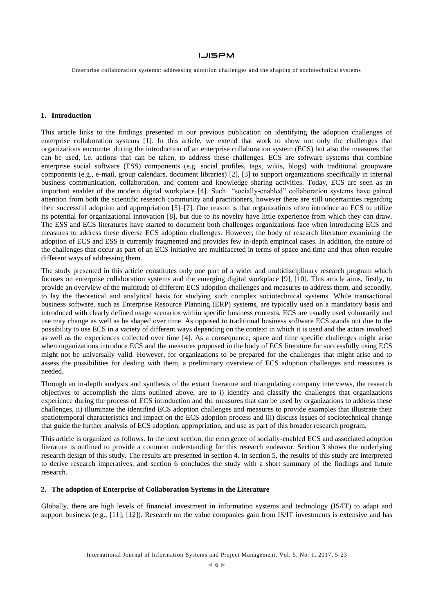Enterprise collaboration systems: addressing adoption challenges and the shaping of sociotechnical systems

### **1. Introduction**

This article links to the findings presented in our previous publication on identifying the adoption challenges of enterprise collaboration systems [1]. In this article, we extend that work to show not only the challenges that organizations encounter during the introduction of an enterprise collaboration system (ECS) but also the measures that can be used, i.e. actions that can be taken, to address these challenges. ECS are software systems that combine enterprise social software (ESS) components (e.g. social profiles, tags, wikis, blogs) with traditional groupware components (e.g., e-mail, group calendars, document libraries) [2], [3] to support organizations specifically in internal business communication, collaboration, and content and knowledge sharing activities. Today, ECS are seen as an important enabler of the modern digital workplace [4]. Such "socially-enabled" collaboration systems have gained attention from both the scientific research community and practitioners, however there are still uncertainties regarding their successful adoption and appropriation [5]–[7]. One reason is that organizations often introduce an ECS to utilize its potential for organizational innovation [8], but due to its novelty have little experience from which they can draw. The ESS and ECS literatures have started to document both challenges organizations face when introducing ECS and measures to address these diverse ECS adoption challenges. However, the body of research literature examining the adoption of ECS and ESS is currently fragmented and provides few in-depth empirical cases. In addition, the nature of the challenges that occur as part of an ECS initiative are multifaceted in terms of space and time and thus often require different ways of addressing them.

The study presented in this article constitutes only one part of a wider and multidisciplinary research program which focuses on enterprise collaboration systems and the emerging digital workplace [9], [10]. This article aims, firstly, to provide an overview of the multitude of different ECS adoption challenges and measures to address them, and secondly, to lay the theoretical and analytical basis for studying such complex sociotechnical systems. While transactional business software, such as Enterprise Resource Planning (ERP) systems, are typically used on a mandatory basis and introduced with clearly defined usage scenarios within specific business contexts, ECS are usually used voluntarily and use may change as well as be shaped over time. As opposed to traditional business software ECS stands out due to the possibility to use ECS in a variety of different ways depending on the context in which it is used and the actors involved as well as the experiences collected over time [4]. As a consequence, space and time specific challenges might arise when organizations introduce ECS and the measures proposed in the body of ECS literature for successfully using ECS might not be universally valid. However, for organizations to be prepared for the challenges that might arise and to assess the possibilities for dealing with them, a preliminary overview of ECS adoption challenges and measures is needed.

Through an in-depth analysis and synthesis of the extant literature and triangulating company interviews, the research objectives to accomplish the aims outlined above, are to i) identify and classify the challenges that organizations experience during the process of ECS introduction and the measures that can be used by organizations to address these challenges, ii) illuminate the identified ECS adoption challenges and measures to provide examples that illustrate their spatiotemporal characteristics and impact on the ECS adoption process and iii) discuss issues of sociotechnical change that guide the further analysis of ECS adoption, appropriation, and use as part of this broader research program.

This article is organized as follows. In the next section, the emergence of socially-enabled ECS and associated adoption literature is outlined to provide a common understanding for this research endeavor. Section 3 shows the underlying research design of this study. The results are presented in section 4. In section 5, the results of this study are interpreted to derive research imperatives, and section 6 concludes the study with a short summary of the findings and future research.

### **2. The adoption of Enterprise of Collaboration Systems in the Literature**

Globally, there are high levels of financial investment in information systems and technology (IS/IT) to adapt and support business (e.g., [11], [12]). Research on the value companies gain from IS/IT investments is extensive and has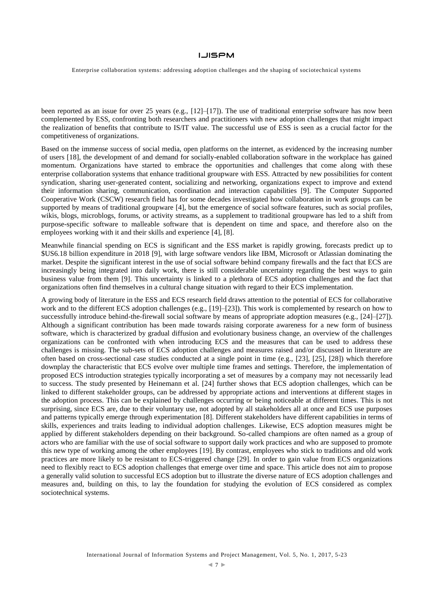Enterprise collaboration systems: addressing adoption challenges and the shaping of sociotechnical systems

been reported as an issue for over 25 years (e.g., [12]–[17]). The use of traditional enterprise software has now been complemented by ESS, confronting both researchers and practitioners with new adoption challenges that might impact the realization of benefits that contribute to IS/IT value. The successful use of ESS is seen as a crucial factor for the competitiveness of organizations.

Based on the immense success of social media, open platforms on the internet, as evidenced by the increasing number of users [18], the development of and demand for socially-enabled collaboration software in the workplace has gained momentum. Organizations have started to embrace the opportunities and challenges that come along with these enterprise collaboration systems that enhance traditional groupware with ESS. Attracted by new possibilities for content syndication, sharing user-generated content, socializing and networking, organizations expect to improve and extend their information sharing, communication, coordination and interaction capabilities [9]. The Computer Supported Cooperative Work (CSCW) research field has for some decades investigated how collaboration in work groups can be supported by means of traditional groupware [4], but the emergence of social software features, such as social profiles, wikis, blogs, microblogs, forums, or activity streams, as a supplement to traditional groupware has led to a shift from purpose-specific software to malleable software that is dependent on time and space, and therefore also on the employees working with it and their skills and experience [4], [8].

Meanwhile financial spending on ECS is significant and the ESS market is rapidly growing, forecasts predict up to \$US6.18 billion expenditure in 2018 [9], with large software vendors like IBM, Microsoft or Atlassian dominating the market. Despite the significant interest in the use of social software behind company firewalls and the fact that ECS are increasingly being integrated into daily work, there is still considerable uncertainty regarding the best ways to gain business value from them [9]. This uncertainty is linked to a plethora of ECS adoption challenges and the fact that organizations often find themselves in a cultural change situation with regard to their ECS implementation.

A growing body of literature in the ESS and ECS research field draws attention to the potential of ECS for collaborative work and to the different ECS adoption challenges (e.g., [19]–[23]). This work is complemented by research on how to successfully introduce behind-the-firewall social software by means of appropriate adoption measures (e.g., [24]–[27]). Although a significant contribution has been made towards raising corporate awareness for a new form of business software, which is characterized by gradual diffusion and evolutionary business change, an overview of the challenges organizations can be confronted with when introducing ECS and the measures that can be used to address these challenges is missing. The sub-sets of ECS adoption challenges and measures raised and/or discussed in literature are often based on cross-sectional case studies conducted at a single point in time (e.g., [23], [25], [28]) which therefore downplay the characteristic that ECS evolve over multiple time frames and settings. Therefore, the implementation of proposed ECS introduction strategies typically incorporating a set of measures by a company may not necessarily lead to success. The study presented by Heinemann et al. [24] further shows that ECS adoption challenges, which can be linked to different stakeholder groups, can be addressed by appropriate actions and interventions at different stages in the adoption process. This can be explained by challenges occurring or being noticeable at different times. This is not surprising, since ECS are, due to their voluntary use, not adopted by all stakeholders all at once and ECS use purposes and patterns typically emerge through experimentation [8]. Different stakeholders have different capabilities in terms of skills, experiences and traits leading to individual adoption challenges. Likewise, ECS adoption measures might be applied by different stakeholders depending on their background. So-called champions are often named as a group of actors who are familiar with the use of social software to support daily work practices and who are supposed to promote this new type of working among the other employees [19]. By contrast, employees who stick to traditions and old work practices are more likely to be resistant to ECS-triggered change [29]. In order to gain value from ECS organizations need to flexibly react to ECS adoption challenges that emerge over time and space. This article does not aim to propose a generally valid solution to successful ECS adoption but to illustrate the diverse nature of ECS adoption challenges and measures and, building on this, to lay the foundation for studying the evolution of ECS considered as complex sociotechnical systems.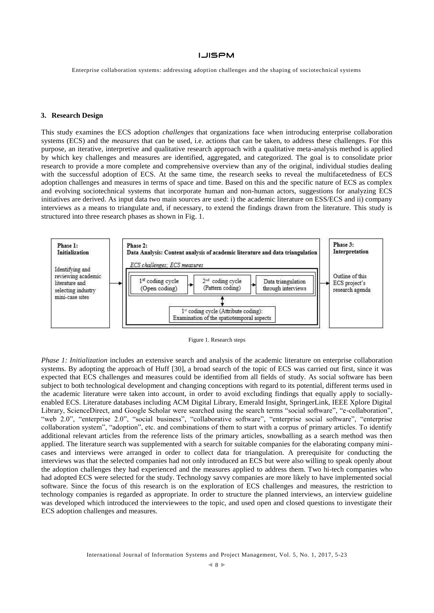Enterprise collaboration systems: addressing adoption challenges and the shaping of sociotechnical systems

### **3. Research Design**

This study examines the ECS adoption *challenges* that organizations face when introducing enterprise collaboration systems (ECS) and the *measures* that can be used, i.e. actions that can be taken, to address these challenges. For this purpose, an iterative, interpretive and qualitative research approach with a qualitative meta-analysis method is applied by which key challenges and measures are identified, aggregated, and categorized. The goal is to consolidate prior research to provide a more complete and comprehensive overview than any of the original, individual studies dealing with the successful adoption of ECS. At the same time, the research seeks to reveal the multifacetedness of ECS adoption challenges and measures in terms of space and time. Based on this and the specific nature of ECS as complex and evolving sociotechnical systems that incorporate human and non-human actors, suggestions for analyzing ECS initiatives are derived. As input data two main sources are used: i) the academic literature on ESS/ECS and ii) company interviews as a means to triangulate and, if necessary, to extend the findings drawn from the literature. This study is structured into three research phases as shown in Fig. 1.





*Phase 1: Initialization* includes an extensive search and analysis of the academic literature on enterprise collaboration systems. By adopting the approach of Huff [30], a broad search of the topic of ECS was carried out first, since it was expected that ECS challenges and measures could be identified from all fields of study. As social software has been subject to both technological development and changing conceptions with regard to its potential, different terms used in the academic literature were taken into account, in order to avoid excluding findings that equally apply to sociallyenabled ECS. Literature databases including ACM Digital Library, Emerald Insight, SpringerLink, IEEE Xplore Digital Library, ScienceDirect, and Google Scholar were searched using the search terms "social software", "e-collaboration", "web 2.0", "enterprise 2.0", "social business", "collaborative software", "enterprise social software", "enterprise collaboration system", "adoption", etc. and combinations of them to start with a corpus of primary articles. To identify additional relevant articles from the reference lists of the primary articles, snowballing as a search method was then applied. The literature search was supplemented with a search for suitable companies for the elaborating company minicases and interviews were arranged in order to collect data for triangulation. A prerequisite for conducting the interviews was that the selected companies had not only introduced an ECS but were also willing to speak openly about the adoption challenges they had experienced and the measures applied to address them. Two hi-tech companies who had adopted ECS were selected for the study. Technology savvy companies are more likely to have implemented social software. Since the focus of this research is on the exploration of ECS challenges and measures, the restriction to technology companies is regarded as appropriate. In order to structure the planned interviews, an interview guideline was developed which introduced the interviewees to the topic, and used open and closed questions to investigate their ECS adoption challenges and measures.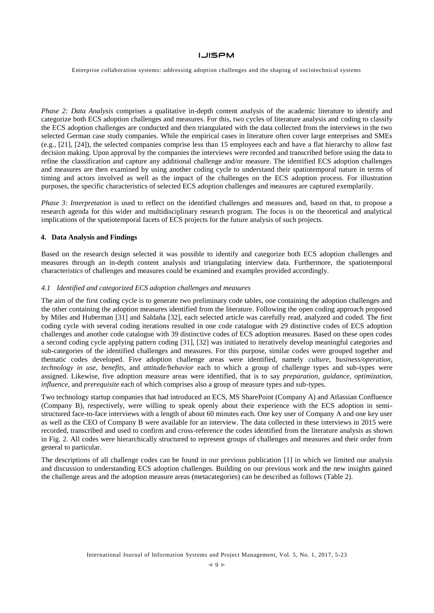Enterprise collaboration systems: addressing adoption challenges and the shaping of sociotechnical systems

*Phase 2: Data Analysis* comprises a qualitative in-depth content analysis of the academic literature to identify and categorize both ECS adoption challenges and measures. For this, two cycles of literature analysis and coding to classify the ECS adoption challenges are conducted and then triangulated with the data collected from the interviews in the two selected German case study companies. While the empirical cases in literature often cover large enterprises and SMEs (e.g., [21], [24]), the selected companies comprise less than 15 employees each and have a flat hierarchy to allow fast decision making. Upon approval by the companies the interviews were recorded and transcribed before using the data to refine the classification and capture any additional challenge and/or measure. The identified ECS adoption challenges and measures are then examined by using another coding cycle to understand their spatiotemporal nature in terms of timing and actors involved as well as the impact of the challenges on the ECS adoption process. For illustration purposes, the specific characteristics of selected ECS adoption challenges and measures are captured exemplarily.

*Phase 3: Interpretation* is used to reflect on the identified challenges and measures and, based on that, to propose a research agenda for this wider and multidisciplinary research program. The focus is on the theoretical and analytical implications of the spatiotemporal facets of ECS projects for the future analysis of such projects.

### **4. Data Analysis and Findings**

Based on the research design selected it was possible to identify and categorize both ECS adoption challenges and measures through an in-depth content analysis and triangulating interview data. Furthermore, the spatiotemporal characteristics of challenges and measures could be examined and examples provided accordingly.

### *4.1 Identified and categorized ECS adoption challenges and measures*

The aim of the first coding cycle is to generate two preliminary code tables, one containing the adoption challenges and the other containing the adoption measures identified from the literature. Following the open coding approach proposed by Miles and Huberman [31] and Saldaña [32], each selected article was carefully read, analyzed and coded. The first coding cycle with several coding iterations resulted in one code catalogue with 29 distinctive codes of ECS adoption challenges and another code catalogue with 39 distinctive codes of ECS adoption measures. Based on these open codes a second coding cycle applying pattern coding [31], [32] was initiated to iteratively develop meaningful categories and sub-categories of the identified challenges and measures. For this purpose, similar codes were grouped together and thematic codes developed. Five adoption challenge areas were identified, namely *culture*, *business/operation*, *technology in use*, *benefits*, and *attitude/behavior* each to which a group of challenge types and sub-types were assigned. Likewise, five adoption measure areas were identified, that is to say *preparation*, *guidance*, *optimization*, *influence*, and *prerequisite* each of which comprises also a group of measure types and sub-types.

Two technology startup companies that had introduced an ECS, MS SharePoint (Company A) and Atlassian Confluence (Company B), respectively, were willing to speak openly about their experience with the ECS adoption in semistructured face-to-face interviews with a length of about 60 minutes each. One key user of Company A and one key user as well as the CEO of Company B were available for an interview. The data collected in these interviews in 2015 were recorded, transcribed and used to confirm and cross-reference the codes identified from the literature analysis as shown in Fig. 2. All codes were hierarchically structured to represent groups of challenges and measures and their order from general to particular.

The descriptions of all challenge codes can be found in our previous publication [1] in which we limited our analysis and discussion to understanding ECS adoption challenges. Building on our previous work and the new insights gained the challenge areas and the adoption measure areas (metacategories) can be described as follows (Table 2).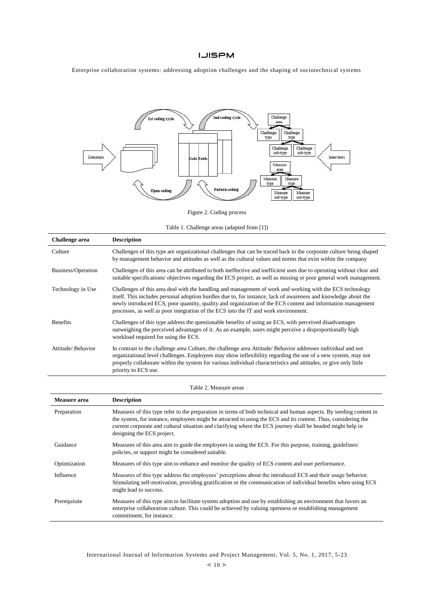Enterprise collaboration systems: addressing adoption challenges and the shaping of sociotechnical systems



Figure 2. Coding process

Table 1. Challenge areas (adapted from [1])

| Challenge area     | <b>Description</b>                                                                                                                                                                                                                                                                                                                                                                                                                 |
|--------------------|------------------------------------------------------------------------------------------------------------------------------------------------------------------------------------------------------------------------------------------------------------------------------------------------------------------------------------------------------------------------------------------------------------------------------------|
| Culture            | Challenges of this type are organizational challenges that can be traced back to the corporate culture being shaped<br>by management behavior and attitudes as well as the cultural values and norms that exist within the company                                                                                                                                                                                                 |
| Business/Operation | Challenges of this area can be attributed to both ineffective and inefficient uses due to operating without clear and<br>suitable specifications/objectives regarding the ECS project, as well as missing or poor general work management.                                                                                                                                                                                         |
| Technology in Use  | Challenges of this area deal with the handling and management of work and working with the ECS technology<br>itself. This includes personal adoption hurdles due to, for instance, lack of awareness and knowledge about the<br>newly introduced ECS, poor quantity, quality and organization of the ECS content and information management<br>processes, as well as poor integration of the ECS into the IT and work environment. |
| <b>Benefits</b>    | Challenges of this type address the questionable benefits of using an ECS, with perceived disadvantages<br>outweighing the perceived advantages of it. As an example, users might perceive a disproportionally high<br>workload required for using the ECS.                                                                                                                                                                        |
| Attitude/Behavior  | In contrast to the challenge area Culture, the challenge area Attitude/Behavior addresses individual and not<br>organizational level challenges. Employees may show inflexibility regarding the use of a new system, may not<br>properly collaborate within the system for various individual characteristics and attitudes, or give only little<br>priority to ECS use.                                                           |

Table 2. Measure areas

| Measure area | <b>Description</b>                                                                                                                                                                                                                                                                                                                                                                |
|--------------|-----------------------------------------------------------------------------------------------------------------------------------------------------------------------------------------------------------------------------------------------------------------------------------------------------------------------------------------------------------------------------------|
| Preparation  | Measures of this type refer to the preparation in terms of both technical and human aspects. By seeding content in<br>the system, for instance, employees might be attracted to using the ECS and its content. Thus, considering the<br>current corporate and cultural situation and clarifying where the ECS journey shall be headed might help in<br>designing the ECS project. |
| Guidance     | Measures of this area aim to guide the employees in using the ECS. For this purpose, training, guidelines<br>policies, or support might be considered suitable.                                                                                                                                                                                                                   |
| Optimization | Measures of this type aim to enhance and monitor the quality of ECS content and user performance.                                                                                                                                                                                                                                                                                 |
| Influence    | Measures of this type address the employees' perceptions about the introduced ECS and their usage behavior.<br>Stimulating self-motivation, providing gratification or the communication of individual benefits when using ECS<br>might lead to success.                                                                                                                          |
| Prerequisite | Measures of this type aim to facilitate system adoption and use by establishing an environment that favors an<br>enterprise collaboration culture. This could be achieved by valuing openness or establishing management<br>commitment, for instance.                                                                                                                             |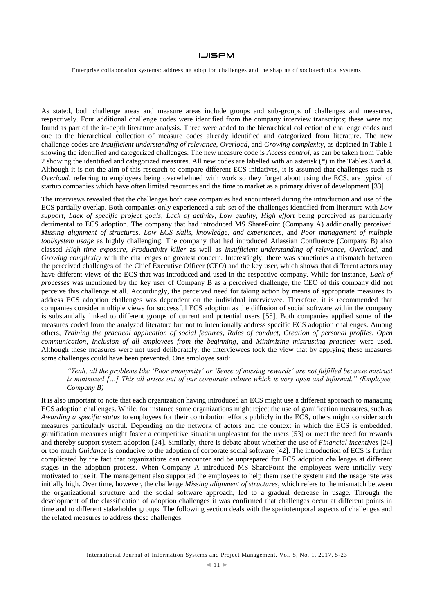Enterprise collaboration systems: addressing adoption challenges and the shaping of sociotechnical systems

As stated, both challenge areas and measure areas include groups and sub-groups of challenges and measures, respectively. Four additional challenge codes were identified from the company interview transcripts; these were not found as part of the in-depth literature analysis. Three were added to the hierarchical collection of challenge codes and one to the hierarchical collection of measure codes already identified and categorized from literature. The new challenge codes are *Insufficient understanding of relevance*, *Overload*, and *Growing complexity*, as depicted in Table 1 showing the identified and categorized challenges. The new measure code is *Access control*, as can be taken from Table 2 showing the identified and categorized measures. All new codes are labelled with an asterisk (\*) in the Tables 3 and 4. Although it is not the aim of this research to compare different ECS initiatives, it is assumed that challenges such as *Overload*, referring to employees being overwhelmed with work so they forget about using the ECS, are typical of startup companies which have often limited resources and the time to market as a primary driver of development [33].

The interviews revealed that the challenges both case companies had encountered during the introduction and use of the ECS partially overlap. Both companies only experienced a sub-set of the challenges identified from literature with *Low support*, *Lack of specific project goals*, *Lack of activity*, *Low quality*, *High effort* being perceived as particularly detrimental to ECS adoption. The company that had introduced MS SharePoint (Company A) additionally perceived *Missing alignment of structures*, *Low ECS skills, knowledge, and experiences*, and *Poor management of multiple tool/system usage* as highly challenging. The company that had introduced Atlassian Confluence (Company B) also classed *High time exposure*, *Productivity killer* as well as *Insufficient understanding of relevance*, *Overload*, and *Growing complexity* with the challenges of greatest concern. Interestingly, there was sometimes a mismatch between the perceived challenges of the Chief Executive Officer (CEO) and the key user, which shows that different actors may have different views of the ECS that was introduced and used in the respective company. While for instance, *Lack of processes* was mentioned by the key user of Company B as a perceived challenge, the CEO of this company did not perceive this challenge at all. Accordingly, the perceived need for taking action by means of appropriate measures to address ECS adoption challenges was dependent on the individual interviewee. Therefore, it is recommended that companies consider multiple views for successful ECS adoption as the diffusion of social software within the company is substantially linked to different groups of current and potential users [55]. Both companies applied some of the measures coded from the analyzed literature but not to intentionally address specific ECS adoption challenges. Among others, *Training the practical application of social features*, *Rules of conduct*, *Creation of personal profiles*, *Open communication*, *Inclusion of all employees from the beginning*, and *Minimizing mistrusting practices* were used. Although these measures were not used deliberately, the interviewees took the view that by applying these measures some challenges could have been prevented. One employee said:

*"Yeah, all the problems like 'Poor anonymity' or 'Sense of missing rewards' are not fulfilled because mistrust is minimized […] This all arises out of our corporate culture which is very open and informal." (Employee, Company B)*

It is also important to note that each organization having introduced an ECS might use a different approach to managing ECS adoption challenges. While, for instance some organizations might reject the use of gamification measures, such as *Awarding a specific status* to employees for their contribution efforts publicly in the ECS, others might consider such measures particularly useful. Depending on the network of actors and the context in which the ECS is embedded, gamification measures might foster a competitive situation unpleasant for the users [53] or meet the need for rewards and thereby support system adoption [24]. Similarly, there is debate about whether the use of *Financial incentives* [24] or too much *Guidance* is conducive to the adoption of corporate social software [42]. The introduction of ECS is further complicated by the fact that organizations can encounter and be unprepared for ECS adoption challenges at different stages in the adoption process. When Company A introduced MS SharePoint the employees were initially very motivated to use it. The management also supported the employees to help them use the system and the usage rate was initially high. Over time, however, the challenge *Missing alignment of structures*, which refers to the mismatch between the organizational structure and the social software approach, led to a gradual decrease in usage. Through the development of the classification of adoption challenges it was confirmed that challenges occur at different points in time and to different stakeholder groups. The following section deals with the spatiotemporal aspects of challenges and the related measures to address these challenges.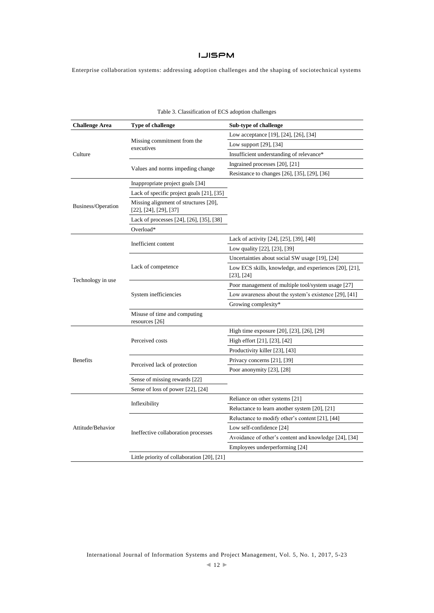Enterprise collaboration systems: addressing adoption challenges and the shaping of sociotechnical systems

| <b>Challenge Area</b> | Type of challenge                                                          | Sub-type of challenge                                                     |
|-----------------------|----------------------------------------------------------------------------|---------------------------------------------------------------------------|
|                       |                                                                            | Low acceptance [19], [24], [26], [34]                                     |
|                       | Missing commitment from the<br>executives                                  | Low support [29], [34]                                                    |
| Culture               |                                                                            | Insufficient understanding of relevance*                                  |
|                       |                                                                            | Ingrained processes [20], [21]                                            |
|                       | Values and norms impeding change                                           | Resistance to changes [26], [35], [29], [36]                              |
|                       | Inappropriate project goals [34]                                           |                                                                           |
|                       | Lack of specific project goals [21], [35]                                  |                                                                           |
| Business/Operation    | Missing alignment of structures [20],<br>$[22]$ , $[24]$ , $[29]$ , $[37]$ |                                                                           |
|                       | Lack of processes [24], [26], [35], [38]                                   |                                                                           |
|                       | Overload*                                                                  |                                                                           |
|                       |                                                                            | Lack of activity [24], [25], [39], [40]                                   |
|                       | Inefficient content                                                        | Low quality [22], [23], [39]                                              |
|                       |                                                                            | Uncertainties about social SW usage [19], [24]                            |
|                       | Lack of competence                                                         | Low ECS skills, knowledge, and experiences [20], [21],<br>$[23]$ , $[24]$ |
| Technology in use     |                                                                            | Poor management of multiple tool/system usage [27]                        |
|                       | System inefficiencies                                                      | Low awareness about the system's existence [29], [41]                     |
|                       |                                                                            | Growing complexity*                                                       |
|                       | Misuse of time and computing<br>resources [26]                             |                                                                           |
|                       |                                                                            | High time exposure [20], [23], [26], [29]                                 |
|                       | Perceived costs                                                            | High effort [21], [23], [42]                                              |
|                       |                                                                            | Productivity killer [23], [43]                                            |
| <b>Benefits</b>       |                                                                            | Privacy concerns [21], [39]                                               |
|                       | Perceived lack of protection                                               | Poor anonymity [23], [28]                                                 |
|                       | Sense of missing rewards [22]                                              |                                                                           |
|                       | Sense of loss of power [22], [24]                                          |                                                                           |
|                       |                                                                            | Reliance on other systems [21]                                            |
|                       | Inflexibility                                                              | Reluctance to learn another system [20], [21]                             |
|                       |                                                                            | Reluctance to modify other's content [21], [44]                           |
| Attitude/Behavior     |                                                                            | Low self-confidence [24]                                                  |
|                       | Ineffective collaboration processes                                        | Avoidance of other's content and knowledge [24], [34]                     |
|                       |                                                                            | Employees underperforming [24]                                            |
|                       | Little priority of collaboration [20], [21]                                |                                                                           |

### Table 3. Classification of ECS adoption challenges

International Journal of Information Systems and Project Management, Vol. 5, No. 1, 2017, 5-23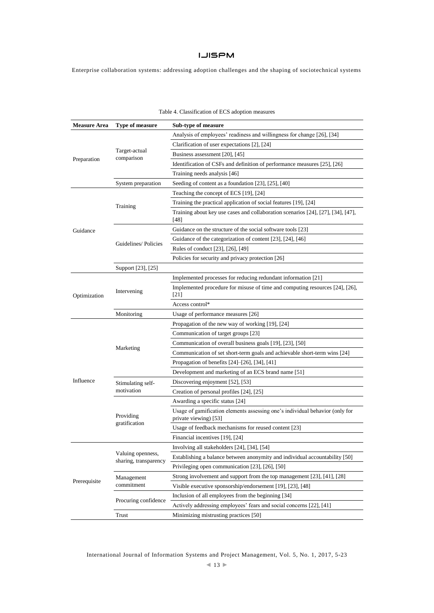Enterprise collaboration systems: addressing adoption challenges and the shaping of sociotechnical systems

| <b>Measure Area</b> | Type of measure                            | Sub-type of measure                                                                                   |  |  |
|---------------------|--------------------------------------------|-------------------------------------------------------------------------------------------------------|--|--|
| Preparation         |                                            | Analysis of employees' readiness and willingness for change [26], [34]                                |  |  |
|                     |                                            | Clarification of user expectations [2], [24]                                                          |  |  |
|                     | Target-actual<br>comparison                | Business assessment [20], [45]                                                                        |  |  |
|                     |                                            | Identification of CSFs and definition of performance measures [25], [26]                              |  |  |
|                     |                                            | Training needs analysis [46]                                                                          |  |  |
|                     | System preparation                         | Seeding of content as a foundation [23], [25], [40]                                                   |  |  |
|                     |                                            | Teaching the concept of ECS [19], [24]                                                                |  |  |
|                     |                                            | Training the practical application of social features [19], [24]                                      |  |  |
|                     | Training                                   | Training about key use cases and collaboration scenarios $[24]$ , $[27]$ , $[34]$ , $[47]$ ,<br>[48]  |  |  |
| Guidance            |                                            | Guidance on the structure of the social software tools [23]                                           |  |  |
|                     |                                            | Guidance of the categorization of content [23], [24], [46]                                            |  |  |
|                     | Guidelines/Policies                        | Rules of conduct [23], [26], [49]                                                                     |  |  |
|                     |                                            | Policies for security and privacy protection [26]                                                     |  |  |
|                     | Support [23], [25]                         |                                                                                                       |  |  |
|                     |                                            | Implemented processes for reducing redundant information [21]                                         |  |  |
| Optimization        | Intervening                                | Implemented procedure for misuse of time and computing resources [24], [26],<br>$[21]$                |  |  |
|                     |                                            | Access control*                                                                                       |  |  |
|                     | Monitoring                                 | Usage of performance measures [26]                                                                    |  |  |
|                     |                                            | Propagation of the new way of working [19], [24]                                                      |  |  |
|                     |                                            | Communication of target groups [23]                                                                   |  |  |
|                     | Marketing                                  | Communication of overall business goals [19], [23], [50]                                              |  |  |
|                     |                                            | Communication of set short-term goals and achievable short-term wins [24]                             |  |  |
|                     |                                            | Propagation of benefits $[24]$ – $[26]$ , $[34]$ , $[41]$                                             |  |  |
|                     |                                            | Development and marketing of an ECS brand name [51]                                                   |  |  |
| Influence           | Stimulating self-<br>motivation            | Discovering enjoyment [52], [53]                                                                      |  |  |
|                     |                                            | Creation of personal profiles [24], [25]                                                              |  |  |
|                     | Providing<br>gratification                 | Awarding a specific status [24]                                                                       |  |  |
|                     |                                            | Usage of gamification elements assessing one's individual behavior (only for<br>private viewing) [53] |  |  |
|                     |                                            | Usage of feedback mechanisms for reused content [23]                                                  |  |  |
|                     |                                            | Financial incentives [19], [24]                                                                       |  |  |
|                     |                                            | Involving all stakeholders [24], [34], [54]                                                           |  |  |
|                     | Valuing openness,<br>sharing, transparency | Establishing a balance between anonymity and individual accountability [50]                           |  |  |
| Prerequisite        |                                            | Privileging open communication [23], [26], [50]                                                       |  |  |
|                     | Management<br>commitment                   | Strong involvement and support from the top management [23], [41], [28]                               |  |  |
|                     |                                            | Visible executive sponsorship/endorsement [19], [23], [48]                                            |  |  |
|                     |                                            | Inclusion of all employees from the beginning [34]                                                    |  |  |
|                     | Procuring confidence                       | Actively addressing employees' fears and social concerns [22], [41]                                   |  |  |
|                     | Trust                                      | Minimizing mistrusting practices [50]                                                                 |  |  |

### Table 4. Classification of ECS adoption measures

International Journal of Information Systems and Project Management, Vol. 5, No. 1, 2017, 5-23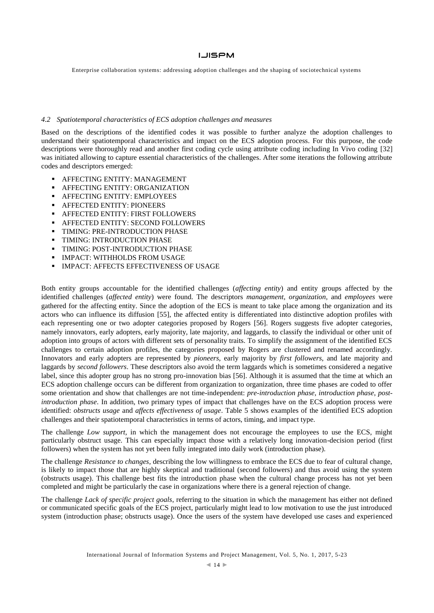Enterprise collaboration systems: addressing adoption challenges and the shaping of sociotechnical systems

#### *4.2 Spatiotemporal characteristics of ECS adoption challenges and measures*

Based on the descriptions of the identified codes it was possible to further analyze the adoption challenges to understand their spatiotemporal characteristics and impact on the ECS adoption process. For this purpose, the code descriptions were thoroughly read and another first coding cycle using attribute coding including In Vivo coding [32] was initiated allowing to capture essential characteristics of the challenges. After some iterations the following attribute codes and descriptors emerged:

- AFFECTING ENTITY: MANAGEMENT
- **AFFECTING ENTITY: ORGANIZATION**
- AFFECTING ENTITY: EMPLOYEES
- **AFFECTED ENTITY: PIONEERS**
- AFFECTED ENTITY: FIRST FOLLOWERS
- AFFECTED ENTITY: SECOND FOLLOWERS
- **TIMING: PRE-INTRODUCTION PHASE**
- TIMING: INTRODUCTION PHASE
- **TIMING: POST-INTRODUCTION PHASE**
- IMPACT: WITHHOLDS FROM USAGE
- **IMPACT: AFFECTS EFFECTIVENESS OF USAGE**

Both entity groups accountable for the identified challenges (*affecting entity*) and entity groups affected by the identified challenges (*affected entity*) were found. The descriptors *management*, *organization*, and *employees* were gathered for the affecting entity. Since the adoption of the ECS is meant to take place among the organization and its actors who can influence its diffusion [55], the affected entity is differentiated into distinctive adoption profiles with each representing one or two adopter categories proposed by Rogers [56]. Rogers suggests five adopter categories, namely innovators, early adopters, early majority, late majority, and laggards, to classify the individual or other unit of adoption into groups of actors with different sets of personality traits. To simplify the assignment of the identified ECS challenges to certain adoption profiles, the categories proposed by Rogers are clustered and renamed accordingly. Innovators and early adopters are represented by *pioneers*, early majority by *first followers*, and late majority and laggards by *second followers*. These descriptors also avoid the term laggards which is sometimes considered a negative label, since this adopter group has no strong pro-innovation bias [56]. Although it is assumed that the time at which an ECS adoption challenge occurs can be different from organization to organization, three time phases are coded to offer some orientation and show that challenges are not time-independent: *pre-introduction phase*, *introduction phase*, *postintroduction phase*. In addition, two primary types of impact that challenges have on the ECS adoption process were identified: *obstructs usage* and *affects effectiveness of usage*. Table 5 shows examples of the identified ECS adoption challenges and their spatiotemporal characteristics in terms of actors, timing, and impact type.

The challenge *Low support*, in which the management does not encourage the employees to use the ECS, might particularly obstruct usage. This can especially impact those with a relatively long innovation-decision period (first followers) when the system has not yet been fully integrated into daily work (introduction phase).

The challenge *Resistance to changes*, describing the low willingness to embrace the ECS due to fear of cultural change, is likely to impact those that are highly skeptical and traditional (second followers) and thus avoid using the system (obstructs usage). This challenge best fits the introduction phase when the cultural change process has not yet been completed and might be particularly the case in organizations where there is a general rejection of change.

The challenge *Lack of specific project goals*, referring to the situation in which the management has either not defined or communicated specific goals of the ECS project, particularly might lead to low motivation to use the just introduced system (introduction phase; obstructs usage). Once the users of the system have developed use cases and experienced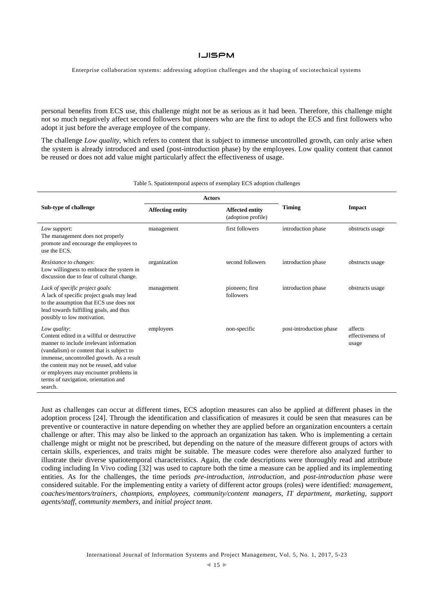Enterprise collaboration systems: addressing adoption challenges and the shaping of sociotechnical systems

personal benefits from ECS use, this challenge might not be as serious as it had been. Therefore, this challenge might not so much negatively affect second followers but pioneers who are the first to adopt the ECS and first followers who adopt it just before the average employee of the company.

The challenge *Low quality*, which refers to content that is subject to immense uncontrolled growth, can only arise when the system is already introduced and used (post-introduction phase) by the employees. Low quality content that cannot be reused or does not add value might particularly affect the effectiveness of usage.

|                                                                                                                                                                                                                                                                                                                                           | <b>Actors</b>           |                                              |                         |                                      |  |
|-------------------------------------------------------------------------------------------------------------------------------------------------------------------------------------------------------------------------------------------------------------------------------------------------------------------------------------------|-------------------------|----------------------------------------------|-------------------------|--------------------------------------|--|
| Sub-type of challenge                                                                                                                                                                                                                                                                                                                     | <b>Affecting entity</b> | <b>Affected entity</b><br>(adoption profile) | <b>Timing</b>           | <b>Impact</b>                        |  |
| Low support:<br>The management does not properly<br>promote and encourage the employees to<br>use the ECS.                                                                                                                                                                                                                                | management              | first followers                              | introduction phase      | obstructs usage                      |  |
| Resistance to changes:<br>Low willingness to embrace the system in<br>discussion due to fear of cultural change.                                                                                                                                                                                                                          | organization            | second followers                             | introduction phase      | obstructs usage                      |  |
| Lack of specific project goals:<br>A lack of specific project goals may lead<br>to the assumption that ECS use does not<br>lead towards fulfilling goals, and thus<br>possibly to low motivation.                                                                                                                                         | management              | pioneers; first<br>followers                 | introduction phase      | obstructs usage                      |  |
| Low quality:<br>Content edited in a willful or destructive<br>manner to include irrelevant information<br>(vandalism) or content that is subject to<br>immense, uncontrolled growth. As a result<br>the content may not be reused, add value<br>or employees may encounter problems in<br>terms of navigation, orientation and<br>search. | employees               | non-specific                                 | post-introduction phase | affects<br>effectiveness of<br>usage |  |

Table 5. Spatiotemporal aspects of exemplary ECS adoption challenges

Just as challenges can occur at different times, ECS adoption measures can also be applied at different phases in the adoption process [24]. Through the identification and classification of measures it could be seen that measures can be preventive or counteractive in nature depending on whether they are applied before an organization encounters a certain challenge or after. This may also be linked to the approach an organization has taken. Who is implementing a certain challenge might or might not be prescribed, but depending on the nature of the measure different groups of actors with certain skills, experiences, and traits might be suitable. The measure codes were therefore also analyzed further to illustrate their diverse spatiotemporal characteristics. Again, the code descriptions were thoroughly read and attribute coding including In Vivo coding [32] was used to capture both the time a measure can be applied and its implementing entities. As for the challenges, the time periods *pre-introduction*, *introduction*, and *post-introduction phase* were considered suitable. For the implementing entity a variety of different actor groups (roles) were identified: *managemen*t, *coaches/mentors/trainers*, *champions*, *employees*, *community/content managers*, *IT department*, *marketing*, *support agents/staff*, *community members*, and *initial project team*.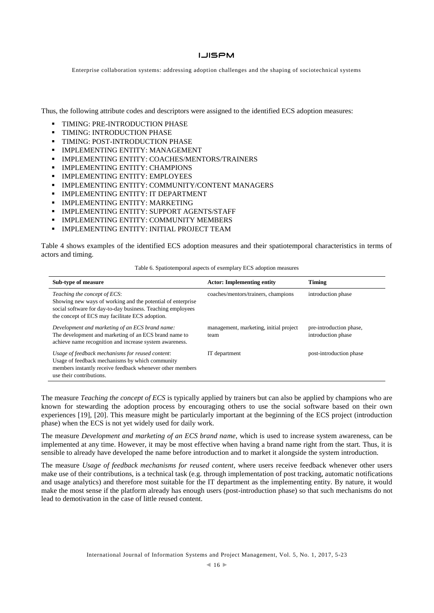### **LJISPM**

Enterprise collaboration systems: addressing adoption challenges and the shaping of sociotechnical systems

Thus, the following attribute codes and descriptors were assigned to the identified ECS adoption measures:

- **TIMING: PRE-INTRODUCTION PHASE**
- TIMING: INTRODUCTION PHASE
- TIMING: POST-INTRODUCTION PHASE
- **IMPLEMENTING ENTITY: MANAGEMENT**
- IMPLEMENTING ENTITY: COACHES/MENTORS/TRAINERS
- IMPLEMENTING ENTITY: CHAMPIONS
- **IMPLEMENTING ENTITY: EMPLOYEES**
- **IMPLEMENTING ENTITY: COMMUNITY/CONTENT MANAGERS**
- **IMPLEMENTING ENTITY: IT DEPARTMENT**
- IMPLEMENTING ENTITY: MARKETING
- **IMPLEMENTING ENTITY: SUPPORT AGENTS/STAFF**
- **IMPLEMENTING ENTITY: COMMUNITY MEMBERS**
- IMPLEMENTING ENTITY: INITIAL PROJECT TEAM

Table 4 shows examples of the identified ECS adoption measures and their spatiotemporal characteristics in terms of actors and timing.

| Table 6. Spatiotemporal aspects of exemplary ECS adoption measures |  |  |  |
|--------------------------------------------------------------------|--|--|--|
|--------------------------------------------------------------------|--|--|--|

| Sub-type of measure                                                                                                                                                                                           | <b>Actor:</b> Implementing entity              | <b>Timing</b>                                 |
|---------------------------------------------------------------------------------------------------------------------------------------------------------------------------------------------------------------|------------------------------------------------|-----------------------------------------------|
| Teaching the concept of ECS:<br>Showing new ways of working and the potential of enterprise<br>social software for day-to-day business. Teaching employees<br>the concept of ECS may facilitate ECS adoption. | coaches/mentors/trainers, champions            | introduction phase                            |
| Development and marketing of an ECS brand name:<br>The development and marketing of an ECS brand name to<br>achieve name recognition and increase system awareness.                                           | management, marketing, initial project<br>team | pre-introduction phase,<br>introduction phase |
| Usage of feedback mechanisms for reused content:<br>Usage of feedback mechanisms by which community<br>members instantly receive feedback whenever other members<br>use their contributions.                  | IT department                                  | post-introduction phase                       |

The measure *Teaching the concept of ECS* is typically applied by trainers but can also be applied by champions who are known for stewarding the adoption process by encouraging others to use the social software based on their own experiences [19], [20]. This measure might be particularly important at the beginning of the ECS project (introduction phase) when the ECS is not yet widely used for daily work.

The measure *Development and marketing of an ECS brand name*, which is used to increase system awareness, can be implemented at any time. However, it may be most effective when having a brand name right from the start. Thus, it is sensible to already have developed the name before introduction and to market it alongside the system introduction.

The measure *Usage of feedback mechanisms for reused content*, where users receive feedback whenever other users make use of their contributions, is a technical task (e.g. through implementation of post tracking, automatic notifications and usage analytics) and therefore most suitable for the IT department as the implementing entity. By nature, it would make the most sense if the platform already has enough users (post-introduction phase) so that such mechanisms do not lead to demotivation in the case of little reused content.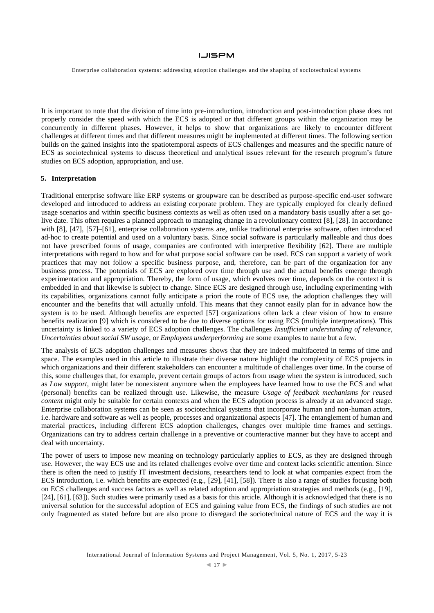Enterprise collaboration systems: addressing adoption challenges and the shaping of sociotechnical systems

It is important to note that the division of time into pre-introduction, introduction and post-introduction phase does not properly consider the speed with which the ECS is adopted or that different groups within the organization may be concurrently in different phases. However, it helps to show that organizations are likely to encounter different challenges at different times and that different measures might be implemented at different times. The following section builds on the gained insights into the spatiotemporal aspects of ECS challenges and measures and the specific nature of ECS as sociotechnical systems to discuss theoretical and analytical issues relevant for the research program's future studies on ECS adoption, appropriation, and use.

### **5. Interpretation**

Traditional enterprise software like ERP systems or groupware can be described as purpose-specific end-user software developed and introduced to address an existing corporate problem. They are typically employed for clearly defined usage scenarios and within specific business contexts as well as often used on a mandatory basis usually after a set golive date. This often requires a planned approach to managing change in a revolutionary context [8], [28]. In accordance with [8], [47], [57]–[61], enterprise collaboration systems are, unlike traditional enterprise software, often introduced ad-hoc to create potential and used on a voluntary basis. Since social software is particularly malleable and thus does not have prescribed forms of usage, companies are confronted with interpretive flexibility [62]. There are multiple interpretations with regard to how and for what purpose social software can be used. ECS can support a variety of work practices that may not follow a specific business purpose, and, therefore, can be part of the organization for any business process. The potentials of ECS are explored over time through use and the actual benefits emerge through experimentation and appropriation. Thereby, the form of usage, which evolves over time, depends on the context it is embedded in and that likewise is subject to change. Since ECS are designed through use, including experimenting with its capabilities, organizations cannot fully anticipate a priori the route of ECS use, the adoption challenges they will encounter and the benefits that will actually unfold. This means that they cannot easily plan for in advance how the system is to be used. Although benefits are expected [57] organizations often lack a clear vision of how to ensure benefits realization [9] which is considered to be due to diverse options for using ECS (multiple interpretations). This uncertainty is linked to a variety of ECS adoption challenges. The challenges *Insufficient understanding of relevance*, *Uncertainties about social SW usage*, or *Employees underperforming* are some examples to name but a few.

The analysis of ECS adoption challenges and measures shows that they are indeed multifaceted in terms of time and space. The examples used in this article to illustrate their diverse nature highlight the complexity of ECS projects in which organizations and their different stakeholders can encounter a multitude of challenges over time. In the course of this, some challenges that, for example, prevent certain groups of actors from usage when the system is introduced, such as *Low support*, might later be nonexistent anymore when the employees have learned how to use the ECS and what (personal) benefits can be realized through use. Likewise, the measure *Usage of feedback mechanisms for reused content* might only be suitable for certain contexts and when the ECS adoption process is already at an advanced stage. Enterprise collaboration systems can be seen as sociotechnical systems that incorporate human and non-human actors, i.e. hardware and software as well as people, processes and organizational aspects [47]. The entanglement of human and material practices, including different ECS adoption challenges, changes over multiple time frames and settings. Organizations can try to address certain challenge in a preventive or counteractive manner but they have to accept and deal with uncertainty.

The power of users to impose new meaning on technology particularly applies to ECS, as they are designed through use. However, the way ECS use and its related challenges evolve over time and context lacks scientific attention. Since there is often the need to justify IT investment decisions, researchers tend to look at what companies expect from the ECS introduction, i.e. which benefits are expected (e.g., [29], [41], [58]). There is also a range of studies focusing both on ECS challenges and success factors as well as related adoption and appropriation strategies and methods (e.g., [19], [24], [61], [63]). Such studies were primarily used as a basis for this article. Although it is acknowledged that there is no universal solution for the successful adoption of ECS and gaining value from ECS, the findings of such studies are not only fragmented as stated before but are also prone to disregard the sociotechnical nature of ECS and the way it is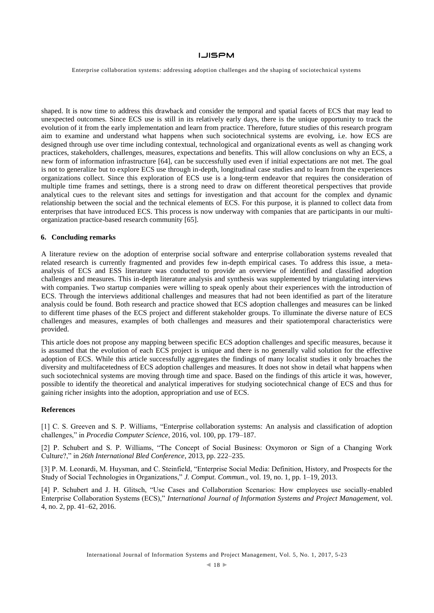Enterprise collaboration systems: addressing adoption challenges and the shaping of sociotechnical systems

shaped. It is now time to address this drawback and consider the temporal and spatial facets of ECS that may lead to unexpected outcomes. Since ECS use is still in its relatively early days, there is the unique opportunity to track the evolution of it from the early implementation and learn from practice. Therefore, future studies of this research program aim to examine and understand what happens when such sociotechnical systems are evolving, i.e. how ECS are designed through use over time including contextual, technological and organizational events as well as changing work practices, stakeholders, challenges, measures, expectations and benefits. This will allow conclusions on why an ECS, a new form of information infrastructure [64], can be successfully used even if initial expectations are not met. The goal is not to generalize but to explore ECS use through in-depth, longitudinal case studies and to learn from the experiences organizations collect. Since this exploration of ECS use is a long-term endeavor that requires the consideration of multiple time frames and settings, there is a strong need to draw on different theoretical perspectives that provide analytical cues to the relevant sites and settings for investigation and that account for the complex and dynamic relationship between the social and the technical elements of ECS. For this purpose, it is planned to collect data from enterprises that have introduced ECS. This process is now underway with companies that are participants in our multiorganization practice-based research community [65].

### **6. Concluding remarks**

A literature review on the adoption of enterprise social software and enterprise collaboration systems revealed that related research is currently fragmented and provides few in-depth empirical cases. To address this issue, a metaanalysis of ECS and ESS literature was conducted to provide an overview of identified and classified adoption challenges and measures. This in-depth literature analysis and synthesis was supplemented by triangulating interviews with companies. Two startup companies were willing to speak openly about their experiences with the introduction of ECS. Through the interviews additional challenges and measures that had not been identified as part of the literature analysis could be found. Both research and practice showed that ECS adoption challenges and measures can be linked to different time phases of the ECS project and different stakeholder groups. To illuminate the diverse nature of ECS challenges and measures, examples of both challenges and measures and their spatiotemporal characteristics were provided.

This article does not propose any mapping between specific ECS adoption challenges and specific measures, because it is assumed that the evolution of each ECS project is unique and there is no generally valid solution for the effective adoption of ECS. While this article successfully aggregates the findings of many localist studies it only broaches the diversity and multifacetedness of ECS adoption challenges and measures. It does not show in detail what happens when such sociotechnical systems are moving through time and space. Based on the findings of this article it was, however, possible to identify the theoretical and analytical imperatives for studying sociotechnical change of ECS and thus for gaining richer insights into the adoption, appropriation and use of ECS.

### **References**

[1] C. S. Greeven and S. P. Williams, "Enterprise collaboration systems: An analysis and classification of adoption challenges," in *Procedia Computer Science*, 2016, vol. 100, pp. 179–187.

[2] P. Schubert and S. P. Williams, "The Concept of Social Business: Oxymoron or Sign of a Changing Work Culture?," in *26th International Bled Conference*, 2013, pp. 222–235.

[3] P. M. Leonardi, M. Huysman, and C. Steinfield, "Enterprise Social Media: Definition, History, and Prospects for the Study of Social Technologies in Organizations," *J. Comput. Commun.*, vol. 19, no. 1, pp. 1–19, 2013.

[4] P. Schubert and J. H. Glitsch, "Use Cases and Collaboration Scenarios: How employees use socially-enabled Enterprise Collaboration Systems (ECS)," *International Journal of Information Systems and Project Management*, vol. 4, no. 2, pp. 41–62, 2016.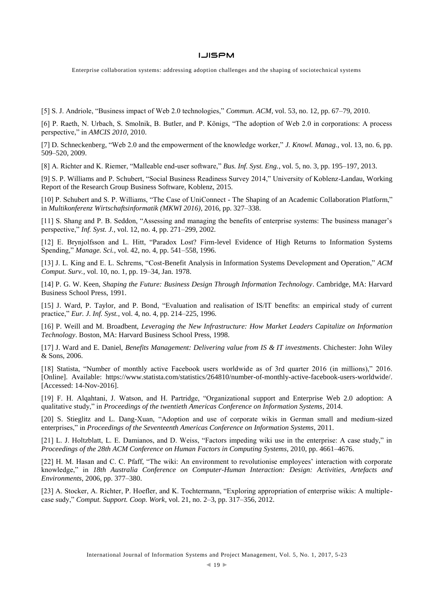Enterprise collaboration systems: addressing adoption challenges and the shaping of sociotechnical systems

[5] S. J. Andriole, "Business impact of Web 2.0 technologies," *Commun. ACM*, vol. 53, no. 12, pp. 67–79, 2010.

[6] P. Raeth, N. Urbach, S. Smolnik, B. Butler, and P. Königs, "The adoption of Web 2.0 in corporations: A process perspective," in *AMCIS 2010*, 2010.

[7] D. Schneckenberg, "Web 2.0 and the empowerment of the knowledge worker," *J. Knowl. Manag.*, vol. 13, no. 6, pp. 509–520, 2009.

[8] A. Richter and K. Riemer, "Malleable end-user software," *Bus. Inf. Syst. Eng.*, vol. 5, no. 3, pp. 195–197, 2013.

[9] S. P. Williams and P. Schubert, "Social Business Readiness Survey 2014," University of Koblenz-Landau, Working Report of the Research Group Business Software, Koblenz, 2015.

[10] P. Schubert and S. P. Williams, "The Case of UniConnect - The Shaping of an Academic Collaboration Platform," in *Multikonferenz Wirtschaftsinformatik (MKWI 2016)*, 2016, pp. 327–338.

[11] S. Shang and P. B. Seddon, "Assessing and managing the benefits of enterprise systems: The business manager's perspective," *Inf. Syst. J.*, vol. 12, no. 4, pp. 271–299, 2002.

[12] E. Brynjolfsson and L. Hitt, "Paradox Lost? Firm-level Evidence of High Returns to Information Systems Spending," *Manage. Sci.*, vol. 42, no. 4, pp. 541–558, 1996.

[13] J. L. King and E. L. Schrems, "Cost-Benefit Analysis in Information Systems Development and Operation," *ACM Comput. Surv.*, vol. 10, no. 1, pp. 19–34, Jan. 1978.

[14] P. G. W. Keen, *Shaping the Future: Business Design Through Information Technology*. Cambridge, MA: Harvard Business School Press, 1991.

[15] J. Ward, P. Taylor, and P. Bond, "Evaluation and realisation of IS/IT benefits: an empirical study of current practice," *Eur. J. Inf. Syst.*, vol. 4, no. 4, pp. 214–225, 1996.

[16] P. Weill and M. Broadbent, *Leveraging the New Infrastructure: How Market Leaders Capitalize on Information Technology*. Boston, MA: Harvard Business School Press, 1998.

[17] J. Ward and E. Daniel, *Benefits Management: Delivering value from IS & IT investments*. Chichester: John Wiley & Sons, 2006.

[18] Statista, "Number of monthly active Facebook users worldwide as of 3rd quarter 2016 (in millions)," 2016. [Online]. Available: https://www.statista.com/statistics/264810/number-of-monthly-active-facebook-users-worldwide/. [Accessed: 14-Nov-2016].

[19] F. H. Alqahtani, J. Watson, and H. Partridge, "Organizational support and Enterprise Web 2.0 adoption: A qualitative study," in *Proceedings of the twentieth Americas Conference on Information Systems*, 2014.

[20] S. Stieglitz and L. Dang-Xuan, "Adoption and use of corporate wikis in German small and medium-sized enterprises," in *Proceedings of the Seventeenth Americas Conference on Information Systems*, 2011.

[21] L. J. Holtzblatt, L. E. Damianos, and D. Weiss, "Factors impeding wiki use in the enterprise: A case study," in *Proceedings of the 28th ACM Conference on Human Factors in Computing Systems*, 2010, pp. 4661–4676.

[22] H. M. Hasan and C. C. Pfaff, "The wiki: An environment to revolutionise employees' interaction with corporate knowledge," in *18th Australia Conference on Computer-Human Interaction: Design: Activities, Artefacts and Environments*, 2006, pp. 377–380.

[23] A. Stocker, A. Richter, P. Hoefler, and K. Tochtermann, "Exploring appropriation of enterprise wikis: A multiplecase sudy," *Comput. Support. Coop. Work*, vol. 21, no. 2–3, pp. 317–356, 2012.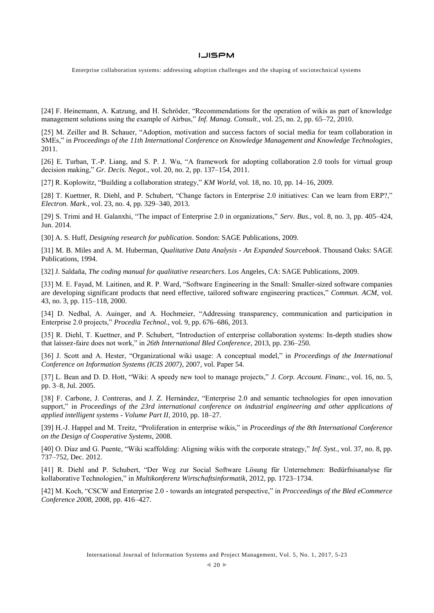Enterprise collaboration systems: addressing adoption challenges and the shaping of sociotechnical systems

[24] F. Heinemann, A. Katzung, and H. Schröder, "Recommendations for the operation of wikis as part of knowledge management solutions using the example of Airbus," *Inf. Manag. Consult.*, vol. 25, no. 2, pp. 65–72, 2010.

[25] M. Zeiller and B. Schauer, "Adoption, motivation and success factors of social media for team collaboration in SMEs," in *Proceedings of the 11th International Conference on Knowledge Management and Knowledge Technologies*, 2011.

[26] E. Turban, T.-P. Liang, and S. P. J. Wu, "A framework for adopting collaboration 2.0 tools for virtual group decision making," *Gr. Decis. Negot.*, vol. 20, no. 2, pp. 137–154, 2011.

[27] R. Koplowitz, "Building a collaboration strategy," *KM World*, vol. 18, no. 10, pp. 14–16, 2009.

[28] T. Kuettner, R. Diehl, and P. Schubert, "Change factors in Enterprise 2.0 initiatives: Can we learn from ERP?," *Electron. Mark.*, vol. 23, no. 4, pp. 329–340, 2013.

[29] S. Trimi and H. Galanxhi, "The impact of Enterprise 2.0 in organizations," *Serv. Bus.*, vol. 8, no. 3, pp. 405–424, Jun. 2014.

[30] A. S. Huff, *Designing research for publication*. Sondon: SAGE Publications, 2009.

[31] M. B. Miles and A. M. Huberman, *Qualitative Data Analysis - An Expanded Sourcebook*. Thousand Oaks: SAGE Publications, 1994.

[32] J. Saldaña, *The coding manual for qualitative researchers*. Los Angeles, CA: SAGE Publications, 2009.

[33] M. E. Fayad, M. Laitinen, and R. P. Ward, "Software Engineering in the Small: Smaller-sized software companies are developing significant products that need effective, tailored software engineering practices," *Commun. ACM*, vol. 43, no. 3, pp. 115–118, 2000.

[34] D. Nedbal, A. Auinger, and A. Hochmeier, "Addressing transparency, communication and participation in Enterprise 2.0 projects," *Procedia Technol.*, vol. 9, pp. 676–686, 2013.

[35] R. Diehl, T. Kuettner, and P. Schubert, "Introduction of enterprise collaboration systems: In-depth studies show that laissez-faire does not work," in *26th International Bled Conference*, 2013, pp. 236–250.

[36] J. Scott and A. Hester, "Organizational wiki usage: A conceptual model," in *Proceedings of the International Conference on Information Systems (ICIS 2007)*, 2007, vol. Paper 54.

[37] L. Bean and D. D. Hott, "Wiki: A speedy new tool to manage projects," *J. Corp. Account. Financ.*, vol. 16, no. 5, pp. 3–8, Jul. 2005.

[38] F. Carbone, J. Contreras, and J. Z. Hernández, "Enterprise 2.0 and semantic technologies for open innovation support," in *Proceedings of the 23rd international conference on industrial engineering and other applications of applied intelligent systems - Volume Part II*, 2010, pp. 18–27.

[39] H.-J. Happel and M. Treitz, "Proliferation in enterprise wikis," in *Proceedings of the 8th International Conference on the Design of Cooperative Systems*, 2008.

[40] O. Díaz and G. Puente, "Wiki scaffolding: Aligning wikis with the corporate strategy," *Inf. Syst.*, vol. 37, no. 8, pp. 737–752, Dec. 2012.

[41] R. Diehl and P. Schubert, "Der Weg zur Social Software Lösung für Unternehmen: Bedürfnisanalyse für kollaborative Technologien," in *Multikonferenz Wirtschaftsinformatik*, 2012, pp. 1723–1734.

[42] M. Koch, "CSCW and Enterprise 2.0 - towards an integrated perspective," in *Procceedings of the Bled eCommerce Conference 2008*, 2008, pp. 416–427.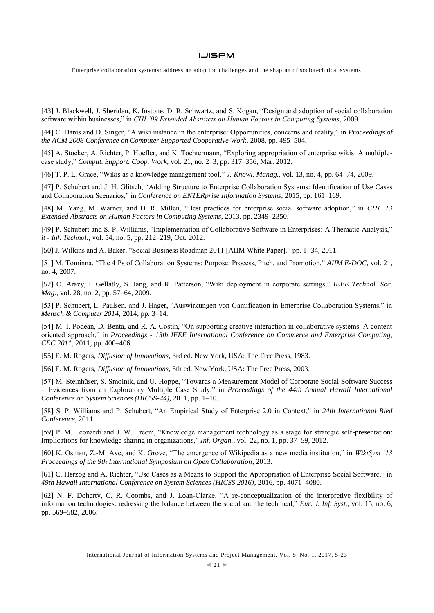Enterprise collaboration systems: addressing adoption challenges and the shaping of sociotechnical systems

[43] J. Blackwell, J. Sheridan, K. Instone, D. R. Schwartz, and S. Kogan, "Design and adoption of social collaboration software within businesses," in *CHI '09 Extended Abstracts on Human Factors in Computing Systems*, 2009.

[44] C. Danis and D. Singer, "A wiki instance in the enterprise: Opportunities, concerns and reality," in *Proceedings of the ACM 2008 Conference on Computer Supported Cooperative Work*, 2008, pp. 495–504.

[45] A. Stocker, A. Richter, P. Hoefler, and K. Tochtermann, "Exploring appropriation of enterprise wikis: A multiplecase study," *Comput. Support. Coop. Work*, vol. 21, no. 2–3, pp. 317–356, Mar. 2012.

[46] T. P. L. Grace, "Wikis as a knowledge management tool," *J. Knowl. Manag.*, vol. 13, no. 4, pp. 64–74, 2009.

[47] P. Schubert and J. H. Glitsch, "Adding Structure to Enterprise Collaboration Systems: Identification of Use Cases and Collaboration Scenarios," in *Conference on ENTERprise Information Systems*, 2015, pp. 161–169.

[48] M. Yang, M. Warner, and D. R. Millen, "Best practices for enterprise social software adoption," in *CHI '13 Extended Abstracts on Human Factors in Computing Systems*, 2013, pp. 2349–2350.

[49] P. Schubert and S. P. Williams, "Implementation of Collaborative Software in Enterprises: A Thematic Analysis," *it - Inf. Technol.*, vol. 54, no. 5, pp. 212–219, Oct. 2012.

[50] J. Wilkins and A. Baker, "Social Business Roadmap 2011 [AIIM White Paper]." pp. 1–34, 2011.

[51] M. Tominna, "The 4 Ps of Collaboration Systems: Purpose, Process, Pitch, and Promotion," *AIIM E-DOC*, vol. 21, no. 4, 2007.

[52] O. Arazy, I. Gellatly, S. Jang, and R. Patterson, "Wiki deployment in corporate settings," *IEEE Technol. Soc. Mag.*, vol. 28, no. 2, pp. 57–64, 2009.

[53] P. Schubert, L. Paulsen, and J. Hager, "Auswirkungen von Gamification in Enterprise Collaboration Systems," in *Mensch & Computer 2014*, 2014, pp. 3–14.

[54] M. I. Podean, D. Benta, and R. A. Costin, "On supporting creative interaction in collaborative systems. A content oriented approach," in *Proceedings - 13th IEEE International Conference on Commerce and Enterprise Computing, CEC 2011*, 2011, pp. 400–406.

[55] E. M. Rogers, *Diffusion of Innovations*, 3rd ed. New York, USA: The Free Press, 1983.

[56] E. M. Rogers, *Diffusion of Innovations*, 5th ed. New York, USA: The Free Press, 2003.

[57] M. Steinhüser, S. Smolnik, and U. Hoppe, "Towards a Measurement Model of Corporate Social Software Success – Evidences from an Exploratory Multiple Case Study," in *Proceedings of the 44th Annual Hawaii International Conference on System Sciences (HICSS-44)*, 2011, pp. 1–10.

[58] S. P. Williams and P. Schubert, "An Empirical Study of Enterprise 2.0 in Context," in *24th International Bled Conference*, 2011.

[59] P. M. Leonardi and J. W. Treem, "Knowledge management technology as a stage for strategic self-presentation: Implications for knowledge sharing in organizations," *Inf. Organ.*, vol. 22, no. 1, pp. 37–59, 2012.

[60] K. Osman, Z.-M. Ave, and K. Grove, "The emergence of Wikipedia as a new media institution," in *WikiSym '13 Proceedings of the 9th International Symposium on Open Collaboration*, 2013.

[61] C. Herzog and A. Richter, "Use Cases as a Means to Support the Appropriation of Enterprise Social Software," in *49th Hawaii International Conference on System Sciences (HICSS 2016)*, 2016, pp. 4071–4080.

[62] N. F. Doherty, C. R. Coombs, and J. Loan-Clarke, "A re-conceptualization of the interpretive flexibility of information technologies: redressing the balance between the social and the technical," *Eur. J. Inf. Syst.*, vol. 15, no. 6, pp. 569–582, 2006.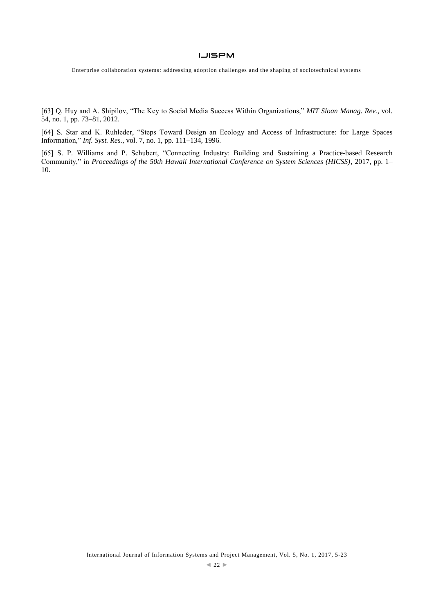Enterprise collaboration systems: addressing adoption challenges and the shaping of sociotechnical systems

[63] Q. Huy and A. Shipilov, "The Key to Social Media Success Within Organizations," *MIT Sloan Manag. Rev.*, vol. 54, no. 1, pp. 73–81, 2012.

[64] S. Star and K. Ruhleder, "Steps Toward Design an Ecology and Access of Infrastructure: for Large Spaces Information," *Inf. Syst. Res.*, vol. 7, no. 1, pp. 111–134, 1996.

[65] S. P. Williams and P. Schubert, "Connecting Industry: Building and Sustaining a Practice-based Research Community," in *Proceedings of the 50th Hawaii International Conference on System Sciences (HICSS)*, 2017, pp. 1– 10.